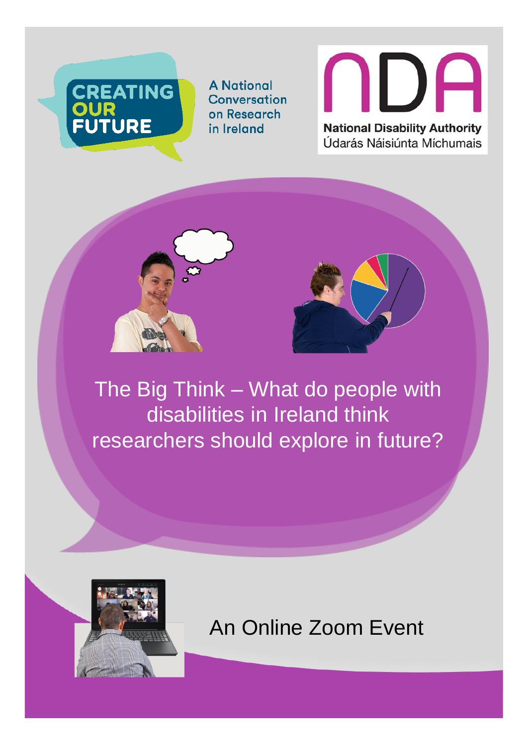

**A National Conversation** on Research in Ireland





The Big Think – What do people with disabilities in Ireland think researchers should explore in future?



#### An Online Zoom Event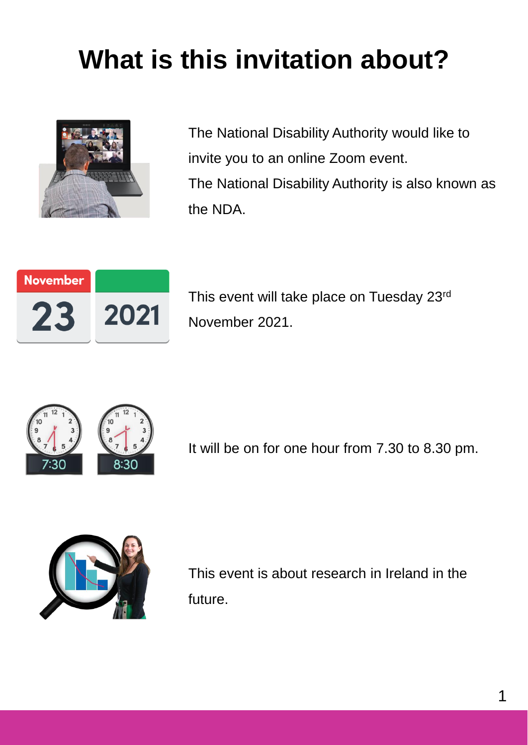### **What is this invitation about?**



The National Disability Authority would like to invite you to an online Zoom event. The National Disability Authority is also known as the NDA.



This event will take place on Tuesday 23rd November 2021.



It will be on for one hour from 7.30 to 8.30 pm.



This event is about research in Ireland in the future.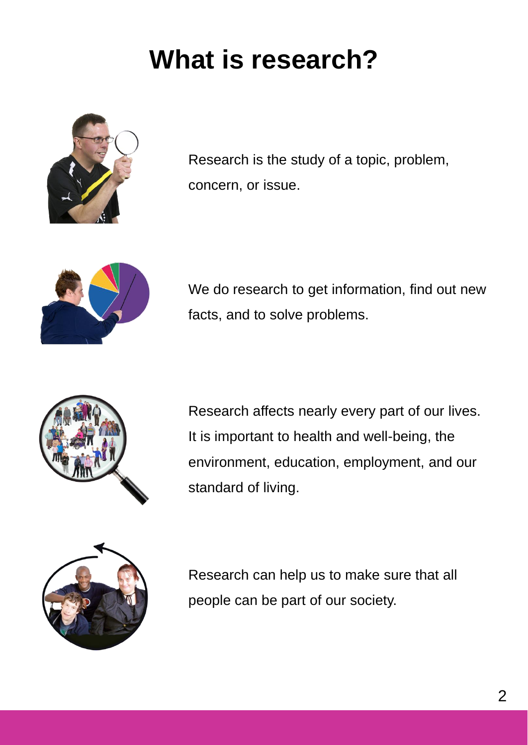### **What is research?**



Research is the study of a topic, problem, concern, or issue.



We do research to get information, find out new facts, and to solve problems.



Research affects nearly every part of our lives. It is important to health and well-being, the environment, education, employment, and our standard of living.



Research can help us to make sure that all people can be part of our society.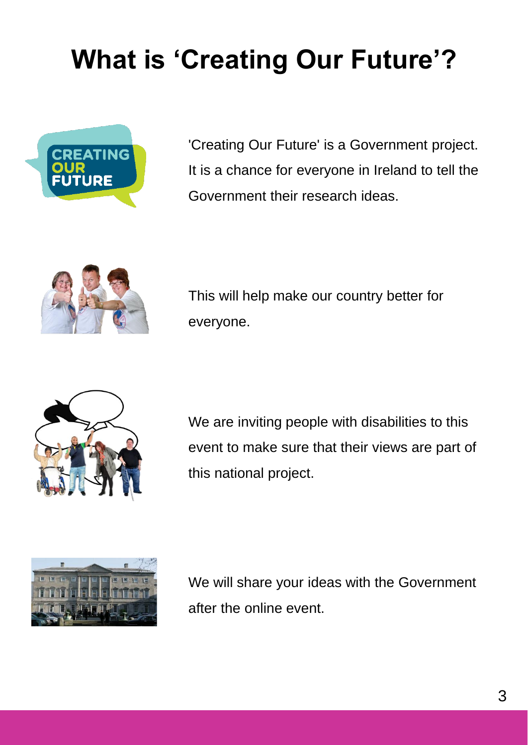# **What is 'Creating Our Future'?**



'Creating Our Future' is a Government project. It is a chance for everyone in Ireland to tell the Government their research ideas.



This will help make our country better for everyone.



We are inviting people with disabilities to this event to make sure that their views are part of this national project.



We will share your ideas with the Government after the online event.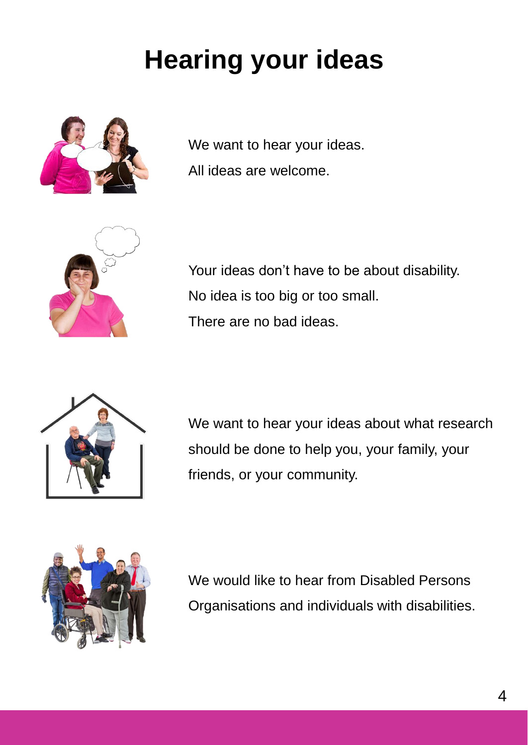# **Hearing your ideas**



We want to hear your ideas. All ideas are welcome.



Your ideas don't have to be about disability. No idea is too big or too small. There are no bad ideas.



We want to hear your ideas about what research should be done to help you, your family, your friends, or your community.



We would like to hear from Disabled Persons Organisations and individuals with disabilities.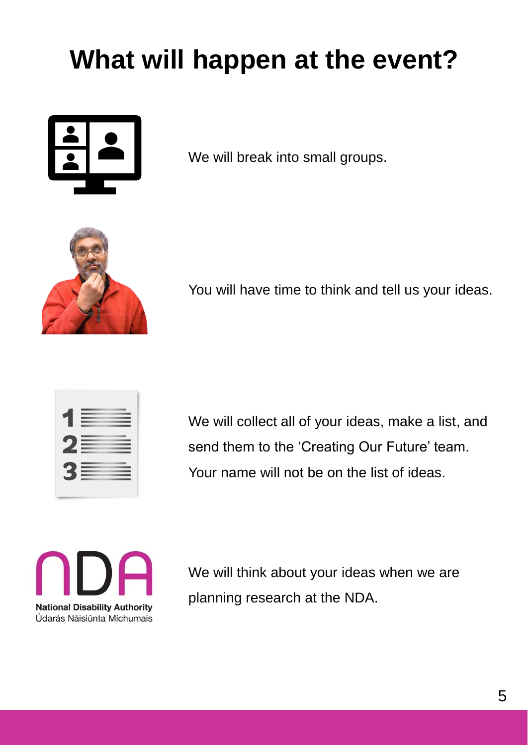# **What will happen at the event?**



We will break into small groups.



You will have time to think and tell us your ideas.



We will collect all of your ideas, make a list, and send them to the 'Creating Our Future' team. Your name will not be on the list of ideas.



We will think about your ideas when we are planning research at the NDA.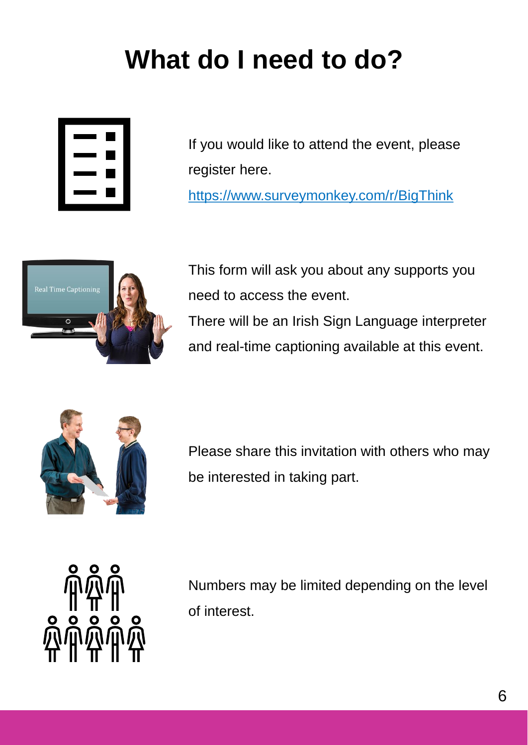# **What do I need to do?**



If you would like to attend the event, please register here. <https://www.surveymonkey.com/r/BigThink>



This form will ask you about any supports you need to access the event. There will be an Irish Sign Language interpreter and real-time captioning available at this event.



Please share this invitation with others who may be interested in taking part.



Numbers may be limited depending on the level of interest.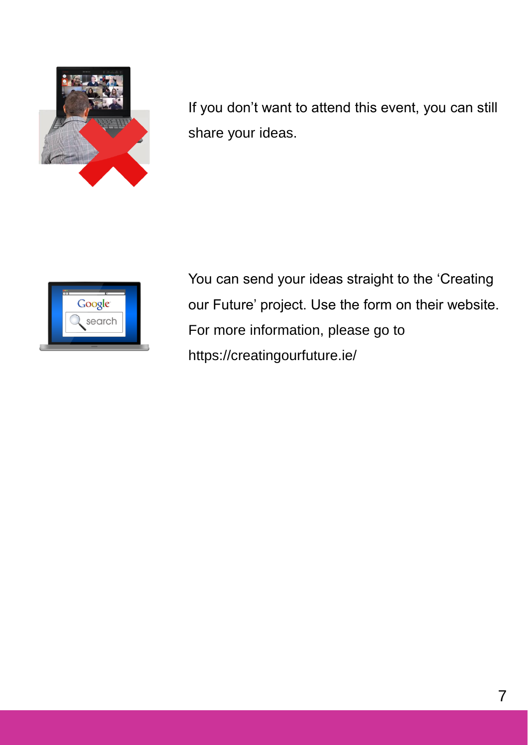

If you don't want to attend this event, you can still share your ideas.



You can send your ideas straight to the 'Creating our Future' project. Use the form on their website. For more information, please go to https://creatingourfuture.ie/